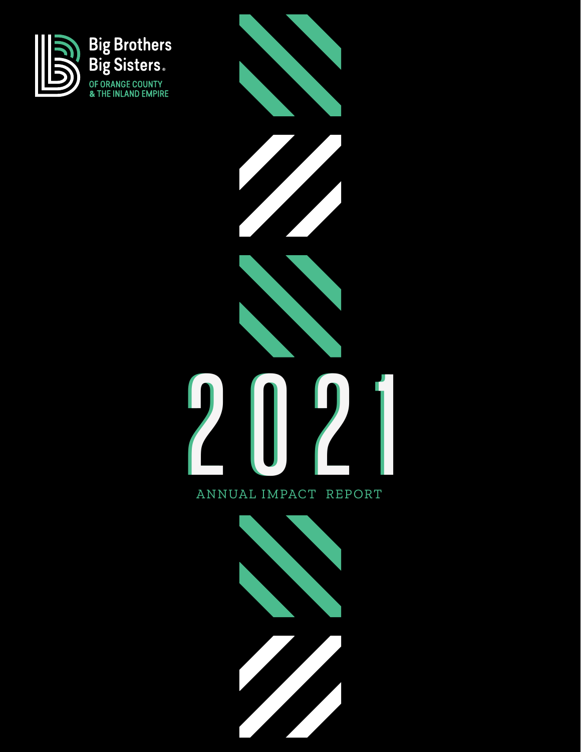



#### ANNUAL IMPACT REPORT

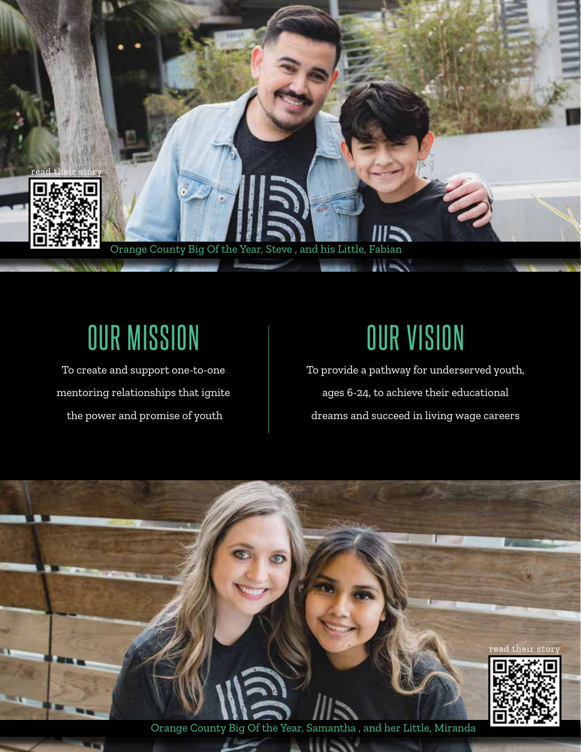

## OUR MISSION

To create and support one-to-one mentoring relationships that ignite the power and promise of youth

# OUR VISION

To provide a pathway for underserved youth, ages 6-24, to achieve their educational dreams and succeed in living wage careers



Orange County Big Of the Year, Samantha , and her Little, Miranda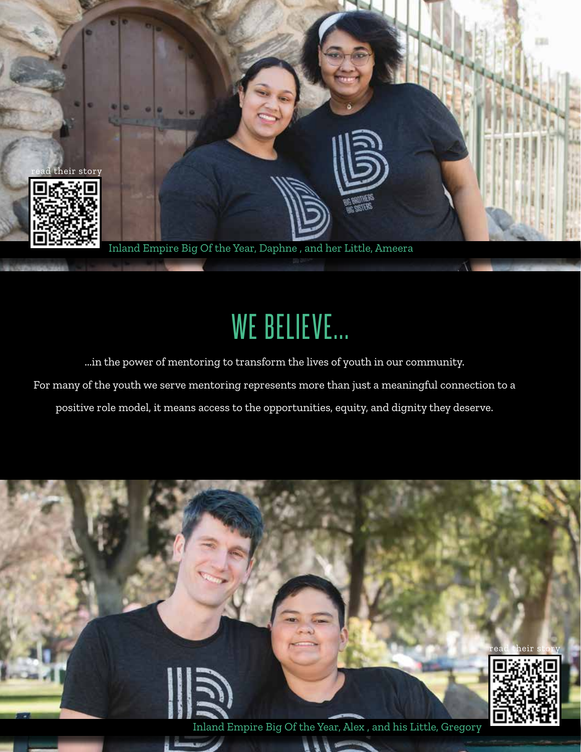

# WE BELIEVE...

...in the power of mentoring to transform the lives of youth in our community.

For many of the youth we serve mentoring represents more than just a meaningful connection to a

positive role model, it means access to the opportunities, equity, and dignity they deserve.

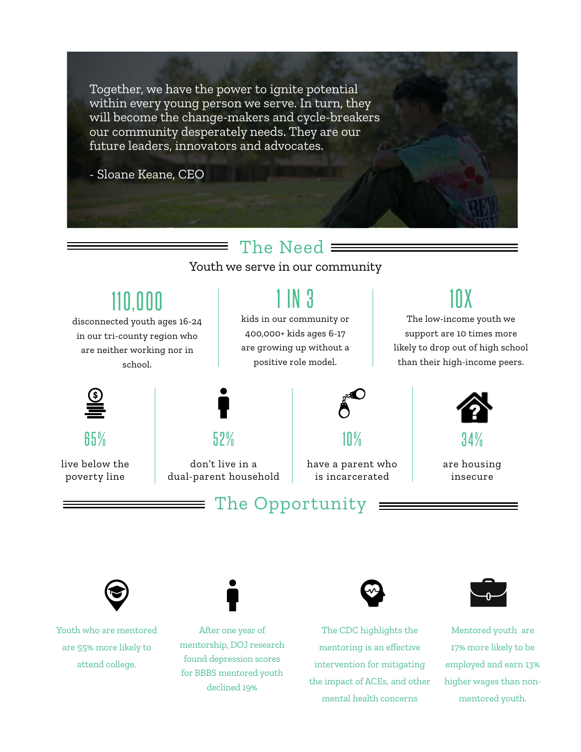Together, we have the power to ignite potential within every young person we serve. In turn, they will become the change-makers and cycle-breakers our community desperately needs. They are our future leaders, innovators and advocates.

- Sloane Keane, CEO

#### The Need  $\equiv$

Youth we serve in our community

## 110,000

disconnected youth ages 16-24 in our tri-county region who are neither working nor in school.

## 1 IN 3

kids in our community or 400,000+ kids ages 6-17 are growing up without a positive role model.

### 10X

The low-income youth we support are 10 times more likely to drop out of high school than their high-income peers.



65%

live below the poverty line



don't live in a dual-parent household

## 10%

have a parent who is incarcerated

#### The Opportunity



The CDC highlights the mentoring is an effective intervention for mitigating the impact of ACEs, and other mental health concerns



Mentored youth are 17% more likely to be employed and earn 13% higher wages than nonmentored youth.



Youth who are mentored are 55% more likely to attend college.

After one year of mentorship, DOJ research found depression scores for BBBS mentored youth declined 19%



34%

are housing insecure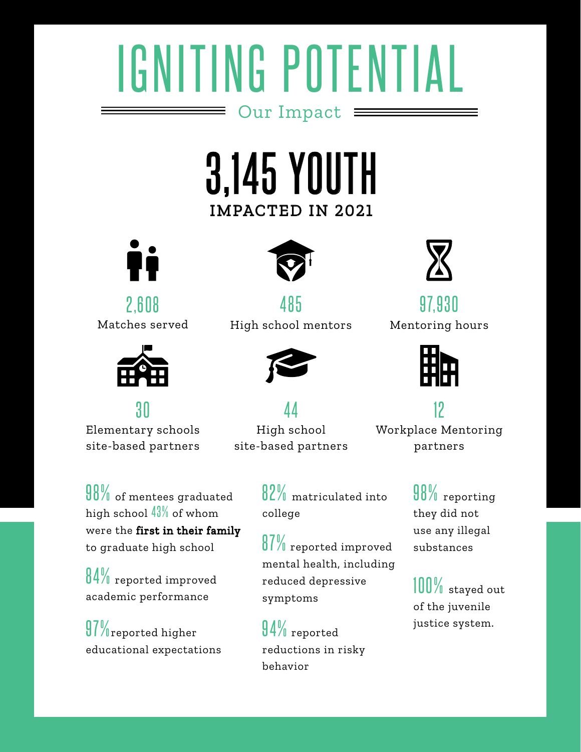# IGNITING POTENTIAL Our Impact

## IMPACTED IN 2021 3,145 YOUTH



 $2,608$ Matches served



30 Elementary schools site-based partners

 $90\%$  of mentees graduated high school  $43\%$  of whom were the first in their family to graduate high school

84% reported improved academic performance

 $97\%$ reported higher educational expectations



485 High school mentors



4 4 High school site-based partners

82% matriculated into college

87% reported improved mental health, including reduced depressive symptoms

94% reported reductions in risky behavior



97,930 Mentoring hours



12 Workplace Mentoring partners

98% reporting they did not use any illegal substances

100% stayed out of the juvenile justice system.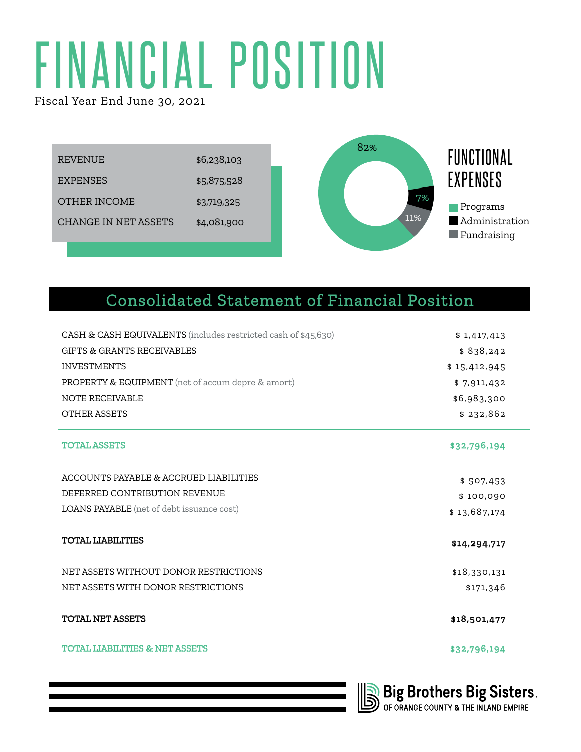# FINANCIAL POSITION

Fiscal Year End June 30, 2021



#### Consolidated Statement of Financial Position

| CASH & CASH EQUIVALENTS (includes restricted cash of \$45,630) | \$1,417,413  |
|----------------------------------------------------------------|--------------|
| <b>GIFTS &amp; GRANTS RECEIVABLES</b>                          | \$838,242    |
| <b>INVESTMENTS</b>                                             | \$15,412,945 |
| PROPERTY & EQUIPMENT (net of accum depre & amort)              | \$7,911,432  |
| <b>NOTE RECEIVABLE</b>                                         | \$6,983,300  |
| <b>OTHER ASSETS</b>                                            | \$232,862    |
| <b>TOTAL ASSETS</b>                                            | \$32,796,194 |
| ACCOUNTS PAYABLE & ACCRUED LIABILITIES                         | \$507,453    |
| DEFERRED CONTRIBUTION REVENUE                                  | \$100,090    |
| LOANS PAYABLE (net of debt issuance cost)                      | \$13,687,174 |
| <b>TOTAL LIABILITIES</b>                                       | \$14,294,717 |
| NET ASSETS WITHOUT DONOR RESTRICTIONS                          | \$18,330,131 |
| NET ASSETS WITH DONOR RESTRICTIONS                             | \$171,346    |
| <b>TOTAL NET ASSETS</b>                                        | \$18,501,477 |
| <b>TOTAL LIABILITIES &amp; NET ASSETS</b>                      | \$32,796,194 |
|                                                                |              |

**Big Brothers Big Sisters.**<br>Dof orange county & the inland empire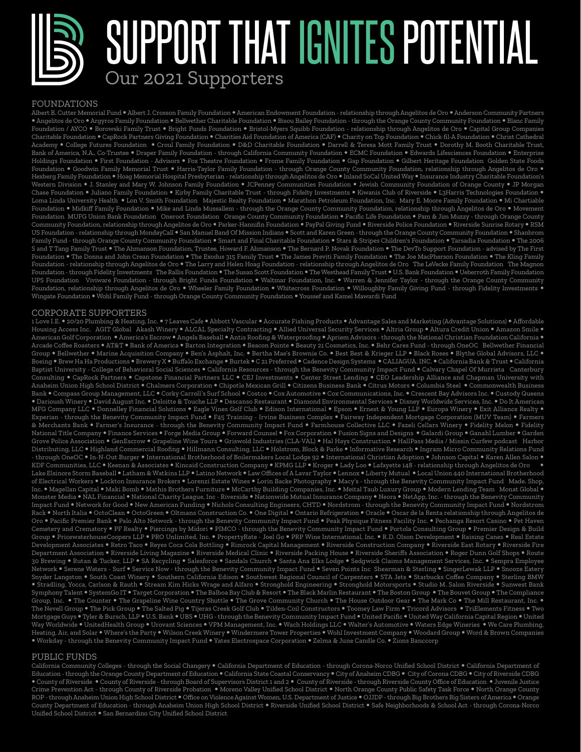SUPPORT THAT IGNITES POTENTIAL Our 2021 Supporters

#### FOUNDATIONS

Albert B. Cutter Memorial Fund Albert J. Crosson Family Foundation American Endowment Foundation - relationship through Angelitos de Oro Anderson Community Partners Angelitos de Oro Argyros Family Foundation Bellwether Charitable Foundation Bisou Bailey Foundation - through the Orange County Community Foundation Blanc Family Foundation / AYCO Borowski Family Trust Bright Funds Foundation Bristol-Myers Squibb Foundation - relationship through Angelitos de Oro Capital Group Companies Charitable Foundation CapRock Partners Giving Foundation Charities Aid Foundation of America (CAF) Charity on Top Foundation Chick-fil-A Foundation Christ Cathedral Academy • College Futures Foundation • Croul Family Foundation • D&D Charitable Foundation • Darrell & Teresa Mott Family Trust • Dorothy M. Booth Charitable Trust, Bank of America, N.A., Co-Trustee • Draper Family Foundation - through California Community Foundation • ECMC Foundation • Edwards Lifesciences Foundation • Enterprise Holdings Foundation • First Foundation - Advisors • Fox Theatre Foundation • Frome Family Foundation • Gap Foundation • Gilbert Heritage Foundation Golden State Foods Foundation • Goodwin Family Memorial Trust • Harris-Taylor Family Foundation - through Orange County Community Foundation, relationship through Angelitos de Oro • Hexberg Family Foundation Hoag Memorial Hospital Presbyterian - relationship through Angelitos de Oro Inland SoCal United Way Insurance Industry Charitable Foundation's Western Division . J. Stanley and Mary W. Johnson Family Foundation . JCPenney Communities Foundation . Jewish Community Foundation of Orange County . JP Morgan Chase Foundation • Juliano Family Foundation • Kirby Family Charitable Trust - through Fidelty Investments • Kiwanis Club of Riverside • L3Harris Technologies Foundation • Loma Linda University Health • Lon V. Smith Foundation Majestic Realty Foundation • Marathon Petroleum Foundation, Inc. Mary E. Moore Family Foundation • Mi Chartiable Foundation . Midkiff Family Foundation . Mike and Linda Mussallem - through the Orange County Community Foundation, relationship through Angelitos de Oro . Movement Foundation MUFG Union Bank Foundation Oneroot Foundation Orange County Community Foundation Pacific Life Foundation Pam & Jim Muzzy - through Orange County Community Foundation, relationship through Angelitos de Oro • Parker-Hannifin Foundation • PayPal Giving Fund • Riverside Police Foundation • Riverside Sunrise Rotary • RSM US Foundation - relationship through MondayCall • San Manuel Band Of Mission Indians • Scott and Karen Green - through the Orange County Community Foundation • Shanbrom Family Fund - through Orange County Community Foundation • Smart and Final Charitable Foundation • Stars & Stripes Children's Foundation • Tarsadia Foundation • The 2006 S and T Tang Family Trust • The Ahmanson Foundation, Trustee, Howard F. Ahmanson • The Bernard P. Novak Foundation • The DevTo Support Foundation - advised by The First Foundation • The Donna and John Crean Foundation • The Exodus 315 Family Trust • The James Previti Family Foundation • The Joe MacPherson Foundation • The Kling Family Foundation - relationship through Angelitos de Oro The Larry and Helen Hoag Foundation - relationship through Angelitos de Oro The LeVecke Family Foundation The Magnon Foundation - through Fidelity Investments The Rallis Foundation • The Susan Scott Foundation • The Westhead Family Trust • U.S. Bank Foundation • Ueberroth Family Foundation UPS Foundation Viviware Foundation - through Bright Funds Foundation Waltmar Foundation, Inc. Warren & Jennifer Taylor - through the Orange County Community Foundation, relationship through Angelitos de Oro • Wheeler Family Foundation • Whitecross Foundation • Willoughby Family Giving Fund - through Fidelity Investments • Wingate Foundation Wohl Family Fund - through Orange County Community Foundation Youssef and Kamel Mawardi Fund

#### CORPORATE SUPPORTERS

1 Love I.E. . 20/20 Plumbing & Heating, Inc. . 7 Leaves Cafe . Abbott Vascular . Accurate Fishing Products . Advantage Sales and Marketing (Advantage Solutions) . Affordable Housing Access Inc. AGIT Global Akash Winery ALCAL Specialty Contracting Allied Universal Security Services Altria Group Altura Credit Union Amazon Smile American Golf Corporation • America's Escrow • Angels Baseball • Antis Roofing & Waterproofing • Apriem Advisors - through the National Christian Foundation California • Arcade Coffee Roasters • AT&T • Bank of America • Barton Integration • Beacon Pointe • Beauty 21 Cosmetics, Inc. • Behr Cares Fund - through OneOC Bellwether Financial Group . Bellwether . Marine Acquisition Company . Ben's Asphalt, Inc. . Bertha Mae's Brownie Co. . Best Best & Krieger LLP . Black Roses . Blythe Global Advisors, LLC Boeing Brew Ha Ha Productions Brewery X Buffalo Exchange Burtek C 21 Preferred Cadence Design Systems CALIAGUA. INC. California Bank & Trust California Baptist University - College of Behavioral Social Sciences • California Resources - through the Benevity Community Impact Fund • Calvary Chapel Of Murrieta Canterbury Consulting CapRock Partners Capstone Financial Partners LLC CEJ Investments Center Street Lending CEO Leadership Alliance and Chapman University with Anaheim Union High School District Chalmers Corporation Chipotle Mexican Grill Citizens Business Bank Citrus Motors Columbia Steel Commonwealth Business Bank . Compass Group Management, LLC . Corky Carroll's Surf School . Costco . Cox Automotive . Cox Communications, Inc. Crescent Bay Advisors Inc. . Custody Queens · Darioush Winery • David August Inc. • Deloitte & Touche LLP • Descanso Restaurant • Diamond Environmental Services • Disney Worldwide Services, Inc. • Do It American MFG Company LLC Donnelley Financial Solutions Eagle Vines Golf Club Edison International Epson Ernest & Young LLP Europa Winery Exit Alliance Realty Experian - through the Benevity Community Impact Fund F45 Training - Irvine Business Complex Fairway Independent Mortgage Corporation (MUV Team) Farmers & Merchants Bank • Farmer's Insurance - through the Benevity Community Impact Fund • Farmhouse Collective LLC • Fazeli Cellars Winery • Fidelity Melon • Fidelity National Title Company • Finance Services • Forge Media Group • Forward Counsel • Fox Corporation • Fusion Signs and Designs • Galardi Group • Ganahl Lumber • Garden Grove Police Association GenEscrow Grapeline Wine Tours Griswold Industries (CLA-VAL) Hal Hays Construction HallPass Media / Missin Curfew podcast Harbor Distributing, LLC Highland Commercial Roofing Hillmann Consulting, LLC Holstrom, Block & Parke Informative Research Ingram Micro Community Relations Fund - through OneOC ● In-N-Out Burger ● International Brotherhood of Boilermakers Local Lodge 92 ● International Christian Adoption ● Johnson Capital ● Karen Allen Salon ● KDF Communities, LLC Keenan & Associates Kincaid Construction Company KPMG LLP Kroger Lady Loo Lafayette 148 - relationship through Angelitos de Oro Lake Elsinore Storm Baseball • Latham & Watkins LLP • Latino Network • Law Offices of A Lavar Taylor • Lennox • Liberty Mutual • Local Union 440 International Brotherhood of Electrical Workers Lockton Insurance Brokers Lorenzi Estate Wines Lorin Backe Photography Macy's - through the Benevity Community Impact Fund Made. Shop, Inc. • Magellan Capital • Maki Bomb • Mathis Brothers Furniture • McCarthy Building Companies, Inc. • Meital Taub Luxury Group • Modern Lending Team Monat Global • Monster Media NAL Financial National Charity League, Inc - Riverside Nationwide Mutual Insurance Company Neora NetApp, Inc. - through the Benevity Community Impact Fund . Network for Good . New American Funding . Nichols Consulting Engineers, CHTD . Nordstrom - through the Benevity Community Impact Fund . Nordstrom Rack • North Italia • OctoClean • OctoGreen • Oltmans Construction Co. • One Digital • Ontario Refrigeration • Oracle • Oscar de la Renta relationship through Angelitos de Oro • Pacific Premier Bank • Palo Alto Network - through the Benevity Community Impact Fund • Peak Physique Fitness Facility Inc. • Pechanga Resort Casino • Pet Haven Cemetery and Crematory • PF Realty • Piercings by Midori • PIMCO - through the Benevity Community Impact Fund • Portola Consulting Group • Premier Design & Build Group PricewaterhouseCoopers LLP PRO Unlimited, Inc. PropertyRate - Joel Go PRP Wine International, Inc. R.D. Olson Development Raising Canes Real Estate Development Associates Retro Taco Reyes Coca Cola Bottling Rimrock Capital Management Riverside Construction Company Riverside East Rotary Riverside Fire Department Association Riverside Living Magazine Riverside Medical Clinic Riverside Packing House Riverside Sheriffs Association Roger Dunn Golf Shops Route 30 Brewing . Rutan & Tucker, LLP . SA Recycling . Salesforce . Sandals Church . Santa Ana Elks Lodge . Sedgwick Claims Management Services, Inc. . Sempra Employee Network • Serene Waters - Surf • Service Now - through the Benevity Community Impact Fund • Seven Points Inc Shearman & Sterling • SingerLewak LLP • Snooze Eatery Snyder Langston . South Coast Winery . Southern California Edison . Southwest Regional Council of Carpenters . STA Jets . Starbucks Coffee Company . Sterling BMW . Stradling, Yocca, Carlson & Rauth . Stream Kim Hicks Wrage and Alfaro . Stronghold Engineering . Stronghold Motorsports . Studio M. Salon Riverside . Sunwest Bank Symphony Talent • SystemGo IT • Target Corporation • The Balboa Bay Club & Resort • The Black Marlin Restaurant • The Boston Group • The Bouvet Group • The Compliance Group, Inc. . The Counter . The Grapeline Wine Country Shuttle . The Grove Community Church . The House Outdoor Gear . The Mark Co . The Mill Restaurant, Inc. . The Nevell Group • The Pick Group • The Salted Pig • Tijeras Creek Golf Club • Tilden-Coil Constructors • Toomey Law Firm • Tricord Advisors • TriElements Fitness • Two Mortgage Guys • Tyler & Bursch, LLP • U.S. Bank • UBS • UHG - through the Benevity Community Impact Fund • United Pacific • United Way California Capital Region • United Way Worldwide UnitedHealth Group Urovant Sciences VPM Management, Inc. Wach Holdings LLC Walter's Automotive Waters Edge Wineries We Care Plumbing, Heating, Air, and Solar Where's the Party Wilson Creek Winery Windermere Tower Properties Wohl Investment Company Woodard Group Word & Brown Companies Workday - through the Benevity Community Impact Fund Yates Electrospace Corporation Zelma & June Candle Co. Zions Banccorp

#### PUBLIC FUNDS

California Community Colleges - through the Social Changery • California Department of Education - through Corona-Norco Unified School District • California Department of Education - through the Orange County Department of Education . California State Coastal Conservancy . City of Anaheim CDBG . City of Corona CDBG . City of Riverside CDBG · County of Riverside · County of Riverside - through Board of Supervisors District 1 and 2 · County of Riverside - through Riverside County Office of Education · Juvenile Justice Crime Prevention Act - through County of Riverside Probation • Moreno Valley Unified School District • North Orange County Public Safety Task Force • North Orange County ROP - through Anaheim Union High School District Office on Violence Against Women, U.S. Department of Justice OJJDP - through Big Brothers Big Sisters of America Orange County Department of Education - through Anaheim Union High School District . Riverside Unified School District . Safe Neighborhoods & School Act - through Corona-Norco Unified School District • San Bernardino City Unified School District